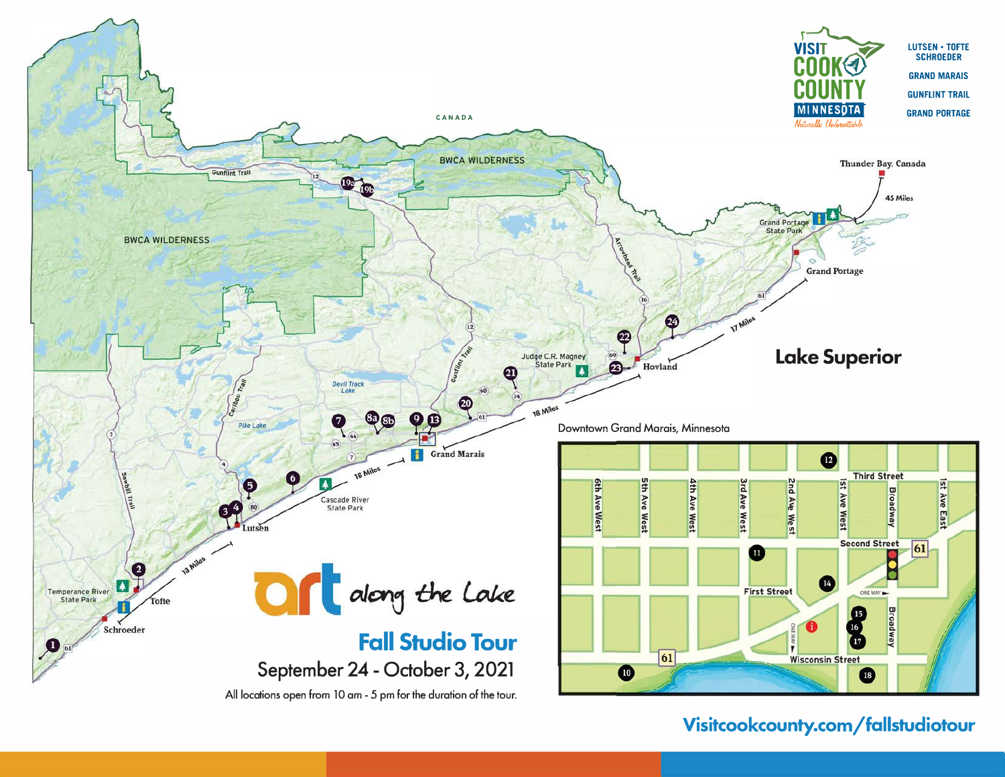

## Visitcookcounty.com/fallstudiotour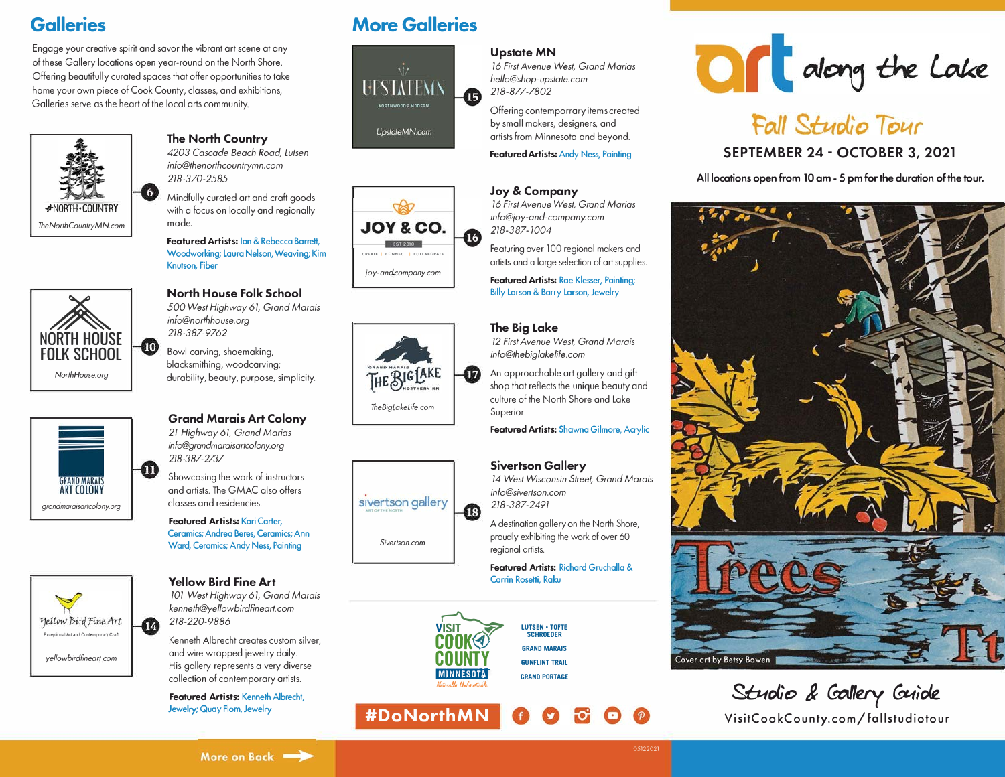# **Galleries**

Engage your creative spirit and savor the vibrant art scene at any of these Gallery locations open year-round on the North Shore. Offering beautifully curated spaces that offer opportunities to take home your own piece of Cook County, classes, and exhibitions, Galleries serve as the heart of the local arts community.



## **The North Country**  *4203 Cascade Beach Road, Lutsen*

*info@thenorthcountrymn.com 218-370-2585* 

Mindfully curated art and craft goods with a focus on locally and regionally made.

**Featured Artists: Ian & Rebecca Barrett,** Woodworking; Laura Nelson, Weaving; Kim Knutson, Fiber



### **North House Folk School**  *500 West Highway 61, Grand Marais*

*info@northhouse.org 218-387-9762* 

Bowl carving, shoemaking, blacksmithing, woodcarving; durability, beauty, purpose, simplicity.



**ExceptionalArtandContemporaryCraft**  *yellowbirdfineart.com* 

Mellow Bird Fine Art

## **Grand Marais Art Colony**

*21 Highway 61, Grand Marias info@grandmaraisartcolony.org 218-387-2737* 

Showcasing the work of instructors and artists. The GMAC also offers classes and residencies.

**Featured Artists:** Kari Carter, Ceramics; Andrea Beres, Ceramics; Ann Ward, Ceramics; Andy Ness, Painting

**Yellow Bird Fine Art**  *101 West Highway 61, Grand Marais kenneth@yellowbirdfineart.com* 

*218-220-9886* 

14

Kenneth Albrecht creates custom silver, and wire wrapped jewelry daily. His gallery represents a very diverse collection of contemporary artists.

**Featured Artists:** Kenneth Albrecht, Jewelry; Quay Flom, Jewelry

# **More Galleries**



**CREATf ( CONNECT I COllA80RATE**  *;oy-and-companycom* 

EST 2010

**JOY & CO.** 

⋒

17)

Œ

*TheBigLakeLile.com* 

THE BIGLAKE

*Sivertson.com* 

sivertson gallery

## **Upstate MN**

*16 First Avenue West, Grand Marias hello@shop-upstate.com 218-877-7802*

Offering contemporrary items created by small makers, designers, and artists from Minnesota and beyond.

**Featured Artists:** Andy Ness, Painting

## **Joy & Company**

*16 First Avenue West, Grand Marias info@ioy-and-company.com 218-387-1004*

Featuring over 100 regional makers and artists and a large selection of art supplies.

**Featured Artists: Rae Klesser, Painting;** Billy Larson & Barry Larson, Jewelry

## **The Big Lake**

*12 First Avenue West, Grand Marais info@thebiglakelife.com* 

An approachable art gallery and gift shop that reflects the unique beauty and culture of the North Shore and Lake Superior.

**Featured Artists:** Shawna Gilmore, Acrylic

## **Sivertson Gallery**

*14 West Wisconsin Street, Grand Marais info@sivertson.com 218-387-2491* 

A destination gallery on the North Shore, proudly exhibiting the work of over 60 regional artists.

**Featured Artists:** Richard Gruchallo & Carrin Rosetti, Raku



**LUTSEN - TOFTE SCHROEDER GRAND MARAIS GUNFLINT TRAIL** 

**GRAND PORTAGE** 

**#DoNorthMN** 



# Fall Studio Tour

## **SEPTEMBER 24 - OCTOBER 3, 2021**

**All locations open from 10 am - 5 pm for the duration of the tour.** 



*<u>Studio</del> & Collery Cuide*</u> VisitCookCounty.com/fallstudiotour